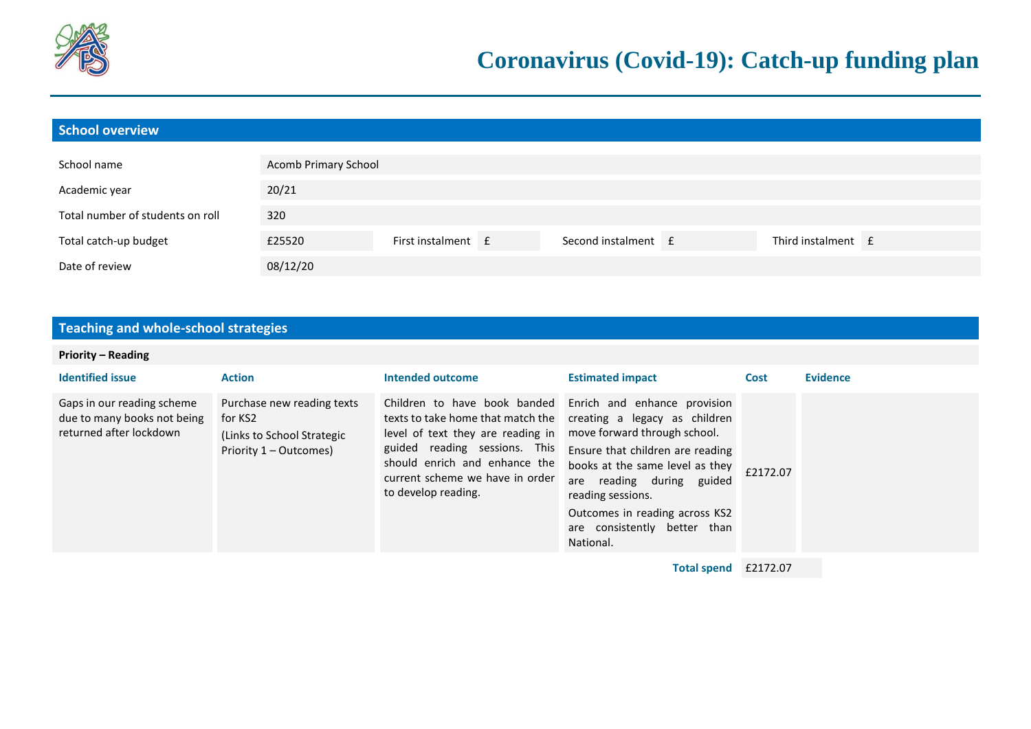

| School overview                  |                      |                    |                     |                    |  |
|----------------------------------|----------------------|--------------------|---------------------|--------------------|--|
| School name                      | Acomb Primary School |                    |                     |                    |  |
| Academic year                    | 20/21                |                    |                     |                    |  |
| Total number of students on roll | 320                  |                    |                     |                    |  |
| Total catch-up budget            | £25520               | First instalment £ | Second instalment E | Third instalment f |  |
| Date of review                   | 08/12/20             |                    |                     |                    |  |

## **Teaching and whole-school strategies**

## **Priority – Reading**

| <b>Identified issue</b>                                                              | <b>Action</b>                                                                                  | Intended outcome                                                                                                                                                                                                                                                                              | <b>Estimated impact</b>                                                                                                                                                                                                                 | Cost     | <b>Evidence</b> |
|--------------------------------------------------------------------------------------|------------------------------------------------------------------------------------------------|-----------------------------------------------------------------------------------------------------------------------------------------------------------------------------------------------------------------------------------------------------------------------------------------------|-----------------------------------------------------------------------------------------------------------------------------------------------------------------------------------------------------------------------------------------|----------|-----------------|
| Gaps in our reading scheme<br>due to many books not being<br>returned after lockdown | Purchase new reading texts<br>for KS2<br>(Links to School Strategic)<br>Priority 1 – Outcomes) | Children to have book banded Enrich and enhance provision<br>texts to take home that match the creating a legacy as children<br>level of text they are reading in<br>guided reading sessions. This<br>should enrich and enhance the<br>current scheme we have in order<br>to develop reading. | move forward through school.<br>Ensure that children are reading<br>books at the same level as they<br>reading during guided<br>are<br>reading sessions.<br>Outcomes in reading across KS2<br>are consistently better than<br>National. | £2172.07 |                 |

**Total spend** £2172.07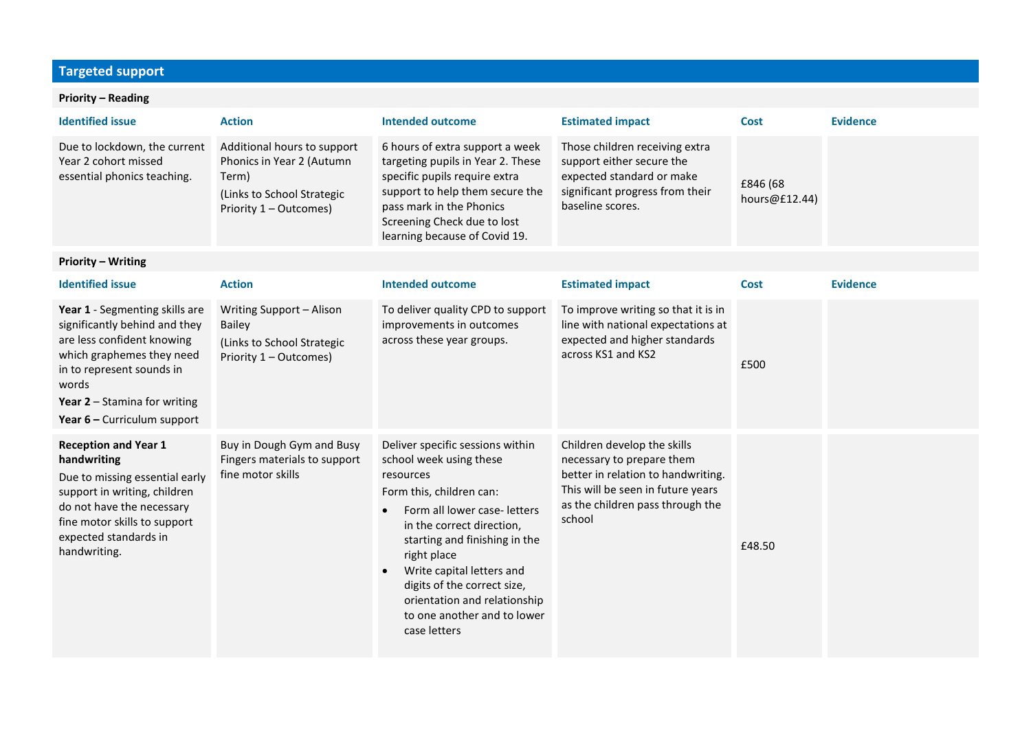## **Targeted support**

## **Priority – Reading**

| <b>Identified issue</b>                                                                                                                                                                                                             | <b>Action</b>                                                                                                             | <b>Intended outcome</b>                                                                                                                                                                                                                                                                                                                                                   | <b>Estimated impact</b>                                                                                                                                                           | <b>Cost</b>               | <b>Evidence</b> |
|-------------------------------------------------------------------------------------------------------------------------------------------------------------------------------------------------------------------------------------|---------------------------------------------------------------------------------------------------------------------------|---------------------------------------------------------------------------------------------------------------------------------------------------------------------------------------------------------------------------------------------------------------------------------------------------------------------------------------------------------------------------|-----------------------------------------------------------------------------------------------------------------------------------------------------------------------------------|---------------------------|-----------------|
| Due to lockdown, the current<br>Year 2 cohort missed<br>essential phonics teaching.                                                                                                                                                 | Additional hours to support<br>Phonics in Year 2 (Autumn<br>Term)<br>(Links to School Strategic<br>Priority 1 - Outcomes) | 6 hours of extra support a week<br>targeting pupils in Year 2. These<br>specific pupils require extra<br>support to help them secure the<br>pass mark in the Phonics<br>Screening Check due to lost<br>learning because of Covid 19.                                                                                                                                      | Those children receiving extra<br>support either secure the<br>expected standard or make<br>significant progress from their<br>baseline scores.                                   | £846 (68<br>hours@£12.44) |                 |
| <b>Priority - Writing</b>                                                                                                                                                                                                           |                                                                                                                           |                                                                                                                                                                                                                                                                                                                                                                           |                                                                                                                                                                                   |                           |                 |
| <b>Identified issue</b>                                                                                                                                                                                                             | <b>Action</b>                                                                                                             | <b>Intended outcome</b>                                                                                                                                                                                                                                                                                                                                                   | <b>Estimated impact</b>                                                                                                                                                           | <b>Cost</b>               | <b>Evidence</b> |
| Year 1 - Segmenting skills are<br>significantly behind and they<br>are less confident knowing<br>which graphemes they need<br>in to represent sounds in<br>words<br>Year $2 -$ Stamina for writing<br>Year $6$ – Curriculum support | Writing Support - Alison<br><b>Bailey</b><br>(Links to School Strategic<br>Priority 1 - Outcomes)                         | To deliver quality CPD to support<br>improvements in outcomes<br>across these year groups.                                                                                                                                                                                                                                                                                | To improve writing so that it is in<br>line with national expectations at<br>expected and higher standards<br>across KS1 and KS2                                                  | £500                      |                 |
| <b>Reception and Year 1</b><br>handwriting<br>Due to missing essential early<br>support in writing, children<br>do not have the necessary<br>fine motor skills to support<br>expected standards in<br>handwriting.                  | Buy in Dough Gym and Busy<br>Fingers materials to support<br>fine motor skills                                            | Deliver specific sessions within<br>school week using these<br>resources<br>Form this, children can:<br>Form all lower case- letters<br>in the correct direction,<br>starting and finishing in the<br>right place<br>Write capital letters and<br>$\bullet$<br>digits of the correct size,<br>orientation and relationship<br>to one another and to lower<br>case letters | Children develop the skills<br>necessary to prepare them<br>better in relation to handwriting.<br>This will be seen in future years<br>as the children pass through the<br>school | £48.50                    |                 |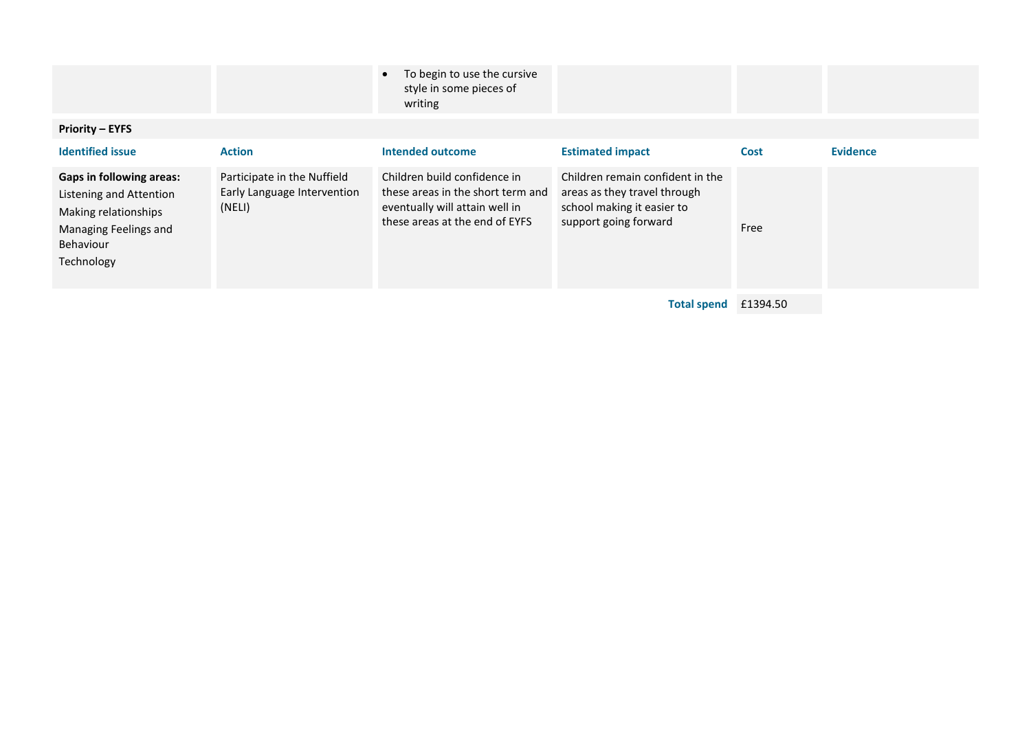|                                                                                                                                        |                                                                      | To begin to use the cursive<br>style in some pieces of<br>writing                                                                     |                                                                                                                         |             |                 |
|----------------------------------------------------------------------------------------------------------------------------------------|----------------------------------------------------------------------|---------------------------------------------------------------------------------------------------------------------------------------|-------------------------------------------------------------------------------------------------------------------------|-------------|-----------------|
| <b>Priority - EYFS</b>                                                                                                                 |                                                                      |                                                                                                                                       |                                                                                                                         |             |                 |
| <b>Identified issue</b>                                                                                                                | <b>Action</b>                                                        | <b>Intended outcome</b>                                                                                                               | <b>Estimated impact</b>                                                                                                 | <b>Cost</b> | <b>Evidence</b> |
| <b>Gaps in following areas:</b><br>Listening and Attention<br>Making relationships<br>Managing Feelings and<br>Behaviour<br>Technology | Participate in the Nuffield<br>Early Language Intervention<br>(NELI) | Children build confidence in<br>these areas in the short term and<br>eventually will attain well in<br>these areas at the end of EYFS | Children remain confident in the<br>areas as they travel through<br>school making it easier to<br>support going forward | Free        |                 |
|                                                                                                                                        |                                                                      |                                                                                                                                       | <b>Total spend</b>                                                                                                      | £1394.50    |                 |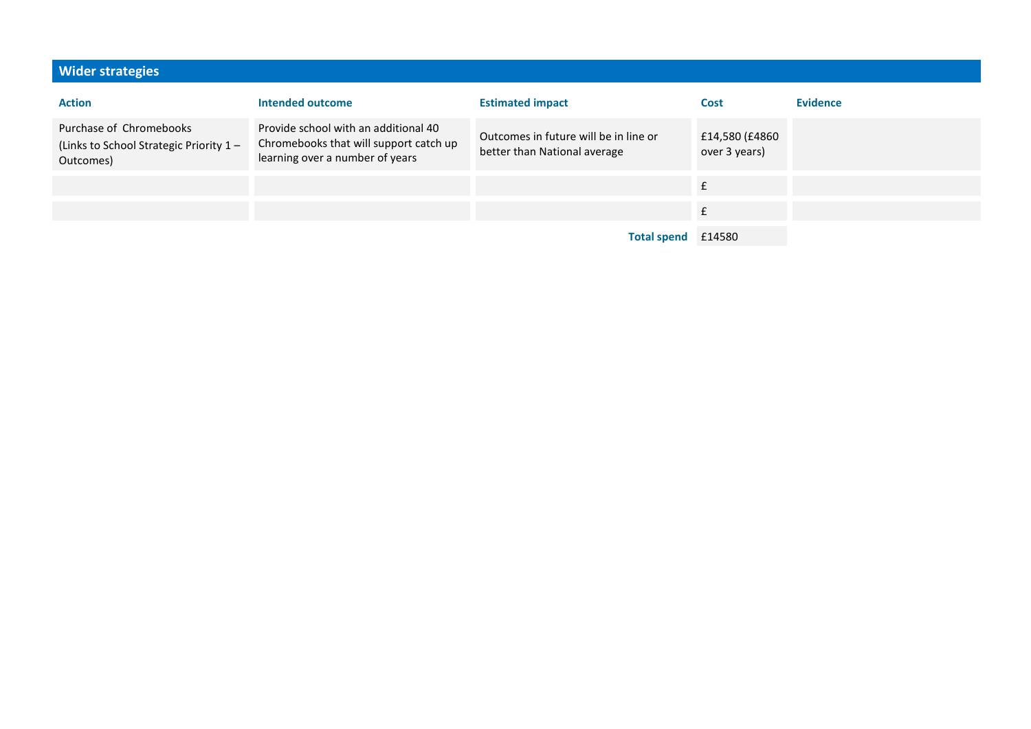| <b>Wider strategies</b>                                                        |                                                                                                                   |                                                                       |                                 |                 |
|--------------------------------------------------------------------------------|-------------------------------------------------------------------------------------------------------------------|-----------------------------------------------------------------------|---------------------------------|-----------------|
| <b>Action</b>                                                                  | Intended outcome                                                                                                  | <b>Estimated impact</b>                                               | Cost                            | <b>Evidence</b> |
| Purchase of Chromebooks<br>(Links to School Strategic Priority 1-<br>Outcomes) | Provide school with an additional 40<br>Chromebooks that will support catch up<br>learning over a number of years | Outcomes in future will be in line or<br>better than National average | £14,580 (£4860<br>over 3 years) |                 |
|                                                                                |                                                                                                                   |                                                                       | £                               |                 |
|                                                                                |                                                                                                                   |                                                                       |                                 |                 |
|                                                                                |                                                                                                                   | <b>Total spend</b>                                                    | £14580                          |                 |